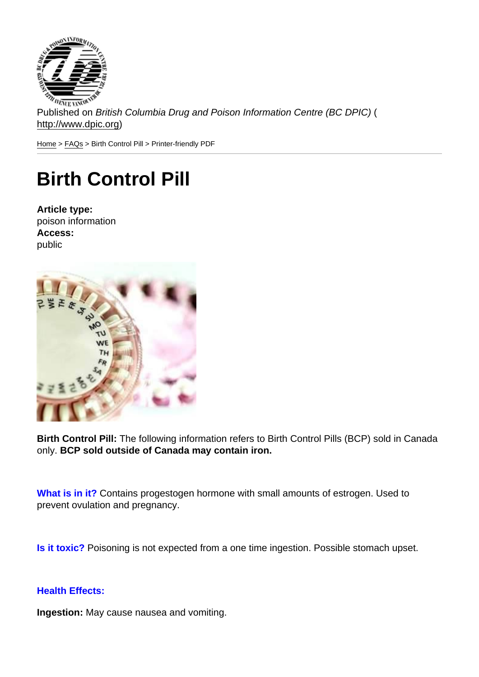Published on British Columbia Drug and Poison Information Centre (BC DPIC) ( http://www.dpic.org)

Home > FAQs > Birth Control Pill > Printer-friendly PDF

## [Bir](http://www.dpic.org/)[th C](http://www.dpic.org/faq)ontrol Pill

Article type: poison information Access: public

Birth Control Pill: The following information refers to Birth Control Pills (BCP) sold in Canada only. BCP sold outside of Canada may contain iron.

What is in it? Contains progestogen hormone with small amounts of estrogen. Used to prevent ovulation and pregnancy.

Is it toxic? Poisoning is not expected from a one time ingestion. Possible stomach upset.

Health Effects:

Ingestion: May cause nausea and vomiting.